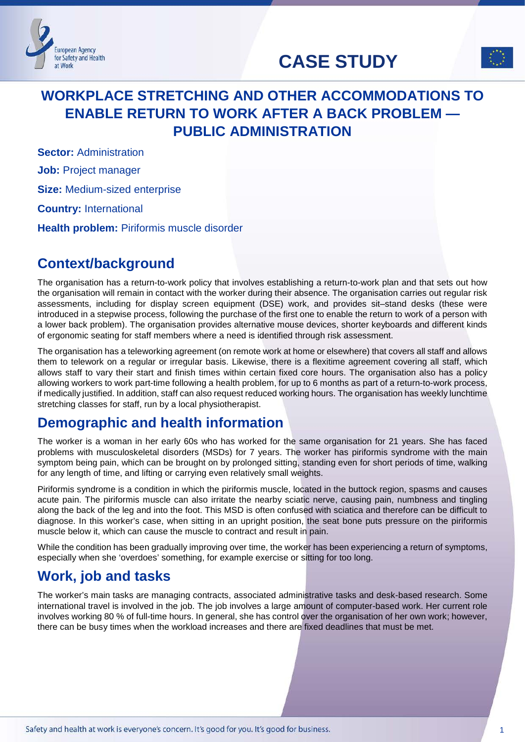



# **WORKPLACE STRETCHING AND OTHER ACCOMMODATIONS TO ENABLE RETURN TO WORK AFTER A BACK PROBLEM — PUBLIC ADMINISTRATION**

**Sector: Administration** 

**European Agency** for Safety and Health at Work

**Job:** Project manager

**Size:** Medium-sized enterprise

**Country:** International

**Health problem:** Piriformis muscle disorder

## **Context/background**

The organisation has a return-to-work policy that involves establishing a return-to-work plan and that sets out how the organisation will remain in contact with the worker during their absence. The organisation carries out regular risk assessments, including for display screen equipment (DSE) work, and provides sit–stand desks (these were introduced in a stepwise process, following the purchase of the first one to enable the return to work of a person with a lower back problem). The organisation provides alternative mouse devices, shorter keyboards and different kinds of ergonomic seating for staff members where a need is identified through risk assessment.

The organisation has a teleworking agreement (on remote work at home or elsewhere) that covers all staff and allows them to telework on a regular or irregular basis. Likewise, there is a flexitime agreement covering all staff, which allows staff to vary their start and finish times within certain fixed core hours. The organisation also has a policy allowing workers to work part-time following a health problem, for up to 6 months as part of a return-to-work process, if medically justified. In addition, staff can also request reduced working hours. The organisation has weekly lunchtime stretching classes for staff, run by a local physiotherapist.

## **Demographic and health information**

The worker is a woman in her early 60s who has worked for the same organisation for 21 years. She has faced problems with musculoskeletal disorders (MSDs) for 7 years. The worker has piriformis syndrome with the main symptom being pain, which can be brought on by prolonged sitting, standing even for short periods of time, walking for any length of time, and lifting or carrying even relatively small weights.

Piriformis syndrome is a condition in which the piriformis muscle, located in the buttock region, spasms and causes acute pain. The piriformis muscle can also irritate the nearby sciatic nerve, causing pain, numbness and tingling along the back of the leg and into the foot. This MSD is often confused with sciatica and therefore can be difficult to diagnose. In this worker's case, when sitting in an upright position, the seat bone puts pressure on the piriformis muscle below it, which can cause the muscle to contract and result in pain.

While the condition has been gradually improving over time, the worker has been experiencing a return of symptoms, especially when she 'overdoes' something, for example exercise or sitting for too long.

# **Work, job and tasks**

The worker's main tasks are managing contracts, associated administrative tasks and desk-based research. Some international travel is involved in the job. The job involves a large amount of computer-based work. Her current role involves working 80 % of full-time hours. In general, she has control over the organisation of her own work; however, there can be busy times when the workload increases and there are fixed deadlines that must be met.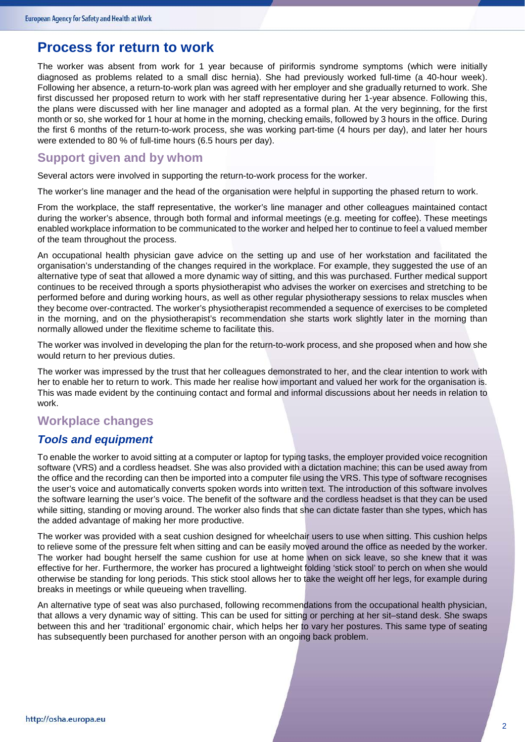### **Process for return to work**

The worker was absent from work for 1 year because of piriformis syndrome symptoms (which were initially diagnosed as problems related to a small disc hernia). She had previously worked full-time (a 40-hour week). Following her absence, a return-to-work plan was agreed with her employer and she gradually returned to work. She first discussed her proposed return to work with her staff representative during her 1-year absence. Following this, the plans were discussed with her line manager and adopted as a formal plan. At the very beginning, for the first month or so, she worked for 1 hour at home in the morning, checking emails, followed by 3 hours in the office. During the first 6 months of the return-to-work process, she was working part-time (4 hours per day), and later her hours were extended to 80 % of full-time hours (6.5 hours per day).

### **Support given and by whom**

Several actors were involved in supporting the return-to-work process for the worker.

The worker's line manager and the head of the organisation were helpful in supporting the phased return to work.

From the workplace, the staff representative, the worker's line manager and other colleagues maintained contact during the worker's absence, through both formal and informal meetings (e.g. meeting for coffee). These meetings enabled workplace information to be communicated to the worker and helped her to continue to feel a valued member of the team throughout the process.

An occupational health physician gave advice on the setting up and use of her workstation and facilitated the organisation's understanding of the changes required in the workplace. For example, they suggested the use of an alternative type of seat that allowed a more dynamic way of sitting, and this was purchased. Further medical support continues to be received through a sports physiotherapist who advises the worker on exercises and stretching to be performed before and during working hours, as well as other regular physiotherapy sessions to relax muscles when they become over-contracted. The worker's physiotherapist recommended a sequence of exercises to be completed in the morning, and on the physiotherapist's recommendation she starts work slightly later in the morning than normally allowed under the flexitime scheme to facilitate this.

The worker was involved in developing the plan for the return-to-work process, and she proposed when and how she would return to her previous duties.

The worker was impressed by the trust that her colleagues demonstrated to her, and the clear intention to work with her to enable her to return to work. This made her realise how important and valued her work for the organisation is. This was made evident by the continuing contact and formal and informal discussions about her needs in relation to work.

### **Workplace changes**

#### *Tools and equipment*

To enable the worker to avoid sitting at a computer or laptop for typing tasks, the employer provided voice recognition software (VRS) and a cordless headset. She was also provided with a dictation machine; this can be used away from the office and the recording can then be imported into a computer file using the VRS. This type of software recognises the user's voice and automatically converts spoken words into written text. The introduction of this software involves the software learning the user's voice. The benefit of the software and the cordless headset is that they can be used while sitting, standing or moving around. The worker also finds that she can dictate faster than she types, which has the added advantage of making her more productive.

The worker was provided with a seat cushion designed for wheelchair users to use when sitting. This cushion helps to relieve some of the pressure felt when sitting and can be easily moved around the office as needed by the worker. The worker had bought herself the same cushion for use at home when on sick leave, so she knew that it was effective for her. Furthermore, the worker has procured a lightweight folding 'stick stool' to perch on when she would otherwise be standing for long periods. This stick stool allows her to take the weight off her legs, for example during breaks in meetings or while queueing when travelling.

An alternative type of seat was also purchased, following recommendations from the occupational health physician, that allows a very dynamic way of sitting. This can be used for sitting or perching at her sit–stand desk. She swaps between this and her 'traditional' ergonomic chair, which helps her to vary her postures. This same type of seating has subsequently been purchased for another person with an ongoing back problem.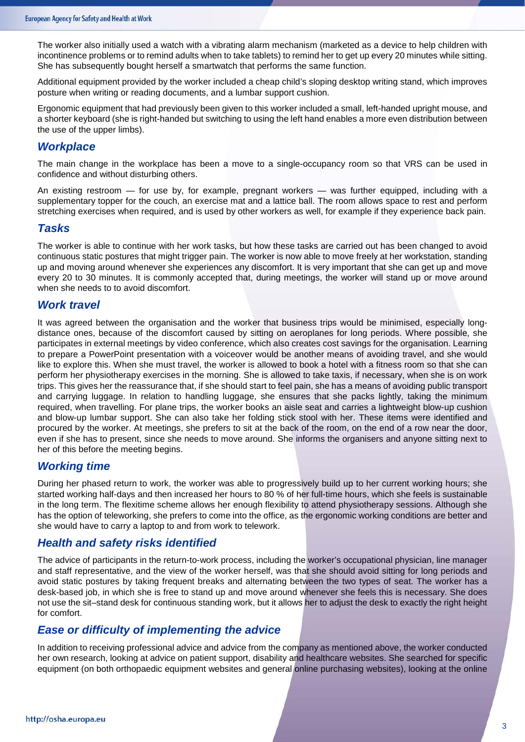The worker also initially used a watch with a vibrating alarm mechanism (marketed as a device to help children with incontinence problems or to remind adults when to take tablets) to remind her to get up every 20 minutes while sitting. She has subsequently bought herself a smartwatch that performs the same function.

Additional equipment provided by the worker included a cheap child's sloping desktop writing stand, which improves posture when writing or reading documents, and a lumbar support cushion.

Ergonomic equipment that had previously been given to this worker included a small, left-handed upright mouse, and a shorter keyboard (she is right-handed but switching to using the left hand enables a more even distribution between the use of the upper limbs).

#### *Workplace*

The main change in the workplace has been a move to a single-occupancy room so that VRS can be used in confidence and without disturbing others.

An existing restroom — for use by, for example, pregnant workers — was further equipped, including with a supplementary topper for the couch, an exercise mat and a lattice ball. The room allows space to rest and perform stretching exercises when required, and is used by other workers as well, for example if they experience back pain.

#### *Tasks*

The worker is able to continue with her work tasks, but how these tasks are carried out has been changed to avoid continuous static postures that might trigger pain. The worker is now able to move freely at her workstation, standing up and moving around whenever she experiences any discomfort. It is very important that she can get up and move every 20 to 30 minutes. It is commonly accepted that, during meetings, the worker will stand up or move around when she needs to to avoid discomfort.

#### *Work travel*

It was agreed between the organisation and the worker that business trips would be minimised, especially longdistance ones, because of the discomfort caused by sitting on aeroplanes for long periods. Where possible, she participates in external meetings by video conference, which also creates cost savings for the organisation. Learning to prepare a PowerPoint presentation with a voiceover would be another means of avoiding travel, and she would like to explore this. When she must travel, the worker is allowed to book a hotel with a fitness room so that she can perform her physiotherapy exercises in the morning. She is allowed to take taxis, if necessary, when she is on work trips. This gives her the reassurance that, if she should start to feel pain, she has a means of avoiding public transport and carrying luggage. In relation to handling luggage, she ensures that she packs lightly, taking the minimum required, when travelling. For plane trips, the worker books an aisle seat and carries a lightweight blow-up cushion and blow-up lumbar support. She can also take her folding stick stool with her. These items were identified and procured by the worker. At meetings, she prefers to sit at the back of the room, on the end of a row near the door, even if she has to present, since she needs to move around. She informs the organisers and anyone sitting next to her of this before the meeting begins.

#### *Working time*

During her phased return to work, the worker was able to progressively build up to her current working hours; she started working half-days and then increased her hours to 80 % of her full-time hours, which she feels is sustainable in the long term. The flexitime scheme allows her enough flexibility to attend physiotherapy sessions. Although she has the option of teleworking, she prefers to come into the office, as the ergonomic working conditions are better and she would have to carry a laptop to and from work to telework.

#### *Health and safety risks identified*

The advice of participants in the return-to-work process, including the worker's occupational physician, line manager and staff representative, and the view of the worker herself, was that she should avoid sitting for long periods and avoid static postures by taking frequent breaks and alternating between the two types of seat. The worker has a desk-based job, in which she is free to stand up and move around whenever she feels this is necessary. She does not use the sit–stand desk for continuous standing work, but it allows her to adjust the desk to exactly the right height for comfort.

#### *Ease or difficulty of implementing the advice*

In addition to receiving professional advice and advice from the company as mentioned above, the worker conducted her own research, looking at advice on patient support, disability and healthcare websites. She searched for specific equipment (on both orthopaedic equipment websites and general online purchasing websites), looking at the online